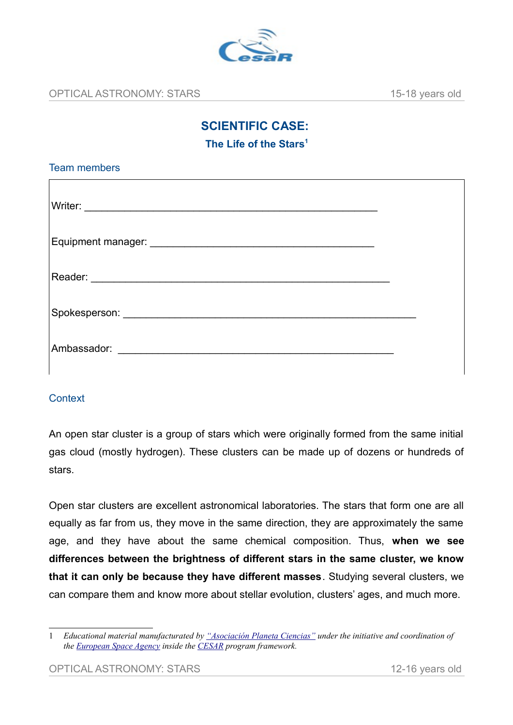

# **SCIENTIFIC CASE:**

**The Life of the Stars[1](#page-0-0)**

### **Context**

An open star cluster is a group of stars which were originally formed from the same initial gas cloud (mostly hydrogen). These clusters can be made up of dozens or hundreds of stars.

Open star clusters are excellent astronomical laboratories. The stars that form one are all equally as far from us, they move in the same direction, they are approximately the same age, and they have about the same chemical composition. Thus, **when we see differences between the brightness of different stars in the same cluster, we know that it can only be because they have different masses**. Studying several clusters, we can compare them and know more about stellar evolution, clusters' ages, and much more.

<span id="page-0-0"></span><sup>1</sup> *Educational material manufacturated by ["Asociación Planeta Ciencias"](http://planetaciencias.es/) under the initiative and coordination of the [European Space Agency](https://www.esa.int/) inside the [CESAR](http://cesar.esa.int/) program framework.*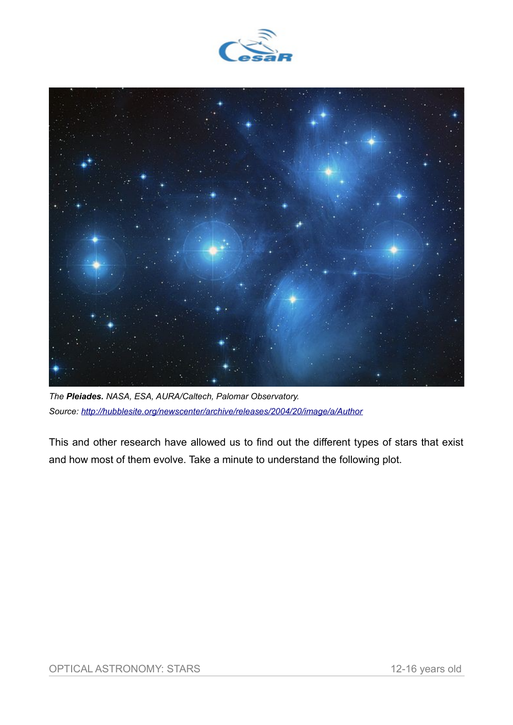



*The Pleiades. NASA, ESA, AURA/Caltech, Palomar Observatory. Source:<http://hubblesite.org/newscenter/archive/releases/2004/20/image/a/Author>*

This and other research have allowed us to find out the different types of stars that exist and how most of them evolve. Take a minute to understand the following plot.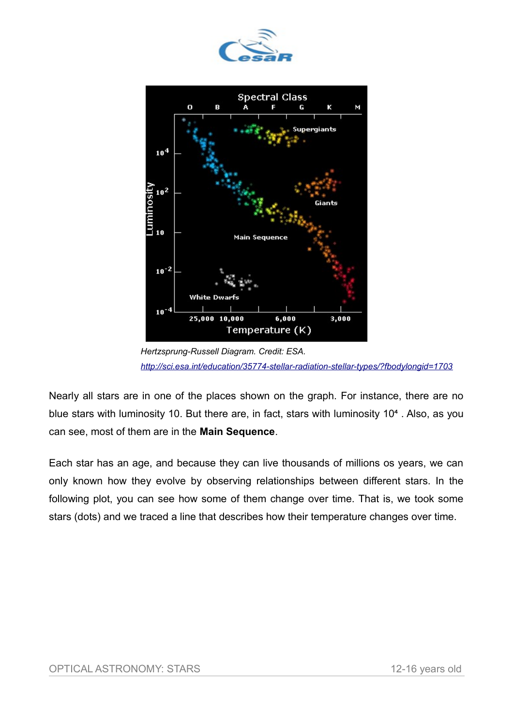



*Hertzsprung-Russell Diagram. Credit: ESA. <http://sci.esa.int/education/35774-stellar-radiation-stellar-types/?fbodylongid=1703>*

Nearly all stars are in one of the places shown on the graph. For instance, there are no blue stars with luminosity 10. But there are, in fact, stars with luminosity 10<sup>4</sup>. Also, as you can see, most of them are in the **Main Sequence**.

Each star has an age, and because they can live thousands of millions os years, we can only known how they evolve by observing relationships between different stars. In the following plot, you can see how some of them change over time. That is, we took some stars (dots) and we traced a line that describes how their temperature changes over time.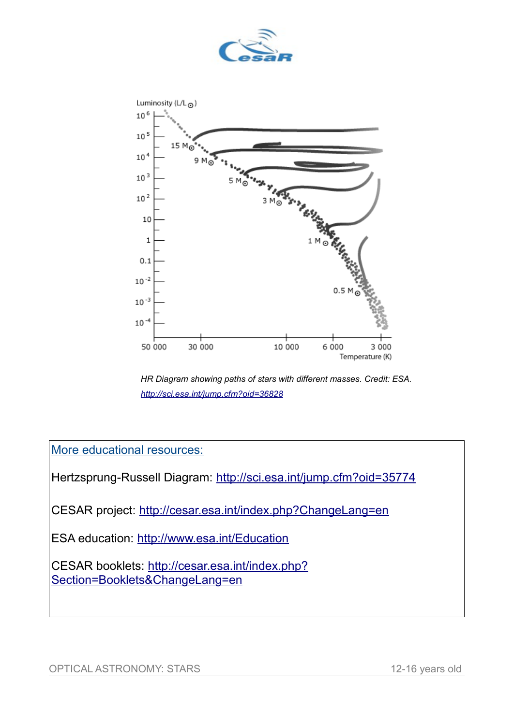



*HR Diagram showing paths of stars with different masses. Credit: ESA. <http://sci.esa.int/jump.cfm?oid=36828>*

More educational resources:

Hertzsprung-Russell Diagram:<http://sci.esa.int/jump.cfm?oid=35774>

CESAR project:<http://cesar.esa.int/index.php?ChangeLang=en>

ESA education:<http://www.esa.int/Education>

CESAR booklets: [http://cesar.esa.int/index.php?](http://cesar.esa.int/index.php?Section=Booklets&ChangeLang=en) [Section=Booklets&ChangeLang=en](http://cesar.esa.int/index.php?Section=Booklets&ChangeLang=en)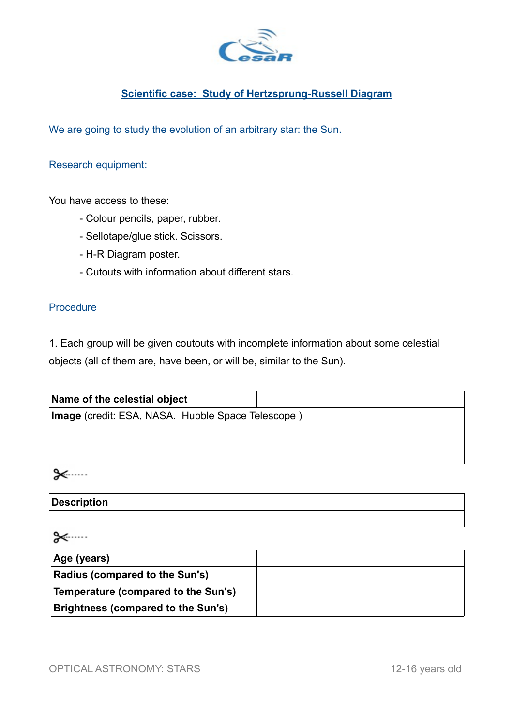

## **Scientific case: Study of Hertzsprung-Russell Diagram**

We are going to study the evolution of an arbitrary star: the Sun.

#### Research equipment:

You have access to these:

- Colour pencils, paper, rubber.
- Sellotape/glue stick. Scissors.
- H-R Diagram poster.
- Cutouts with information about different stars.

#### **Procedure**

1. Each group will be given coutouts with incomplete information about some celestial objects (all of them are, have been, or will be, similar to the Sun).

| Name of the celestial object                      |  |
|---------------------------------------------------|--|
| Image (credit: ESA, NASA. Hubble Space Telescope) |  |
|                                                   |  |
|                                                   |  |
|                                                   |  |
|                                                   |  |

# **Description**

⊁

| Age (years)                         |  |
|-------------------------------------|--|
| Radius (compared to the Sun's)      |  |
| Temperature (compared to the Sun's) |  |
| Brightness (compared to the Sun's)  |  |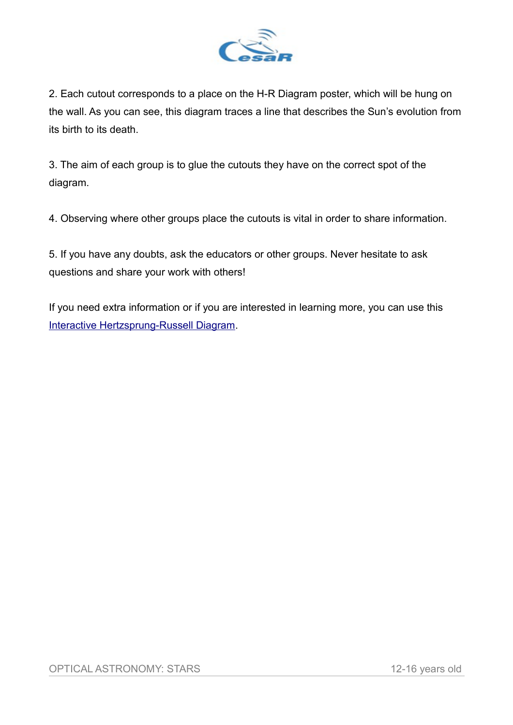

2. Each cutout corresponds to a place on the H-R Diagram poster, which will be hung on the wall. As you can see, this diagram traces a line that describes the Sun's evolution from its birth to its death.

3. The aim of each group is to glue the cutouts they have on the correct spot of the diagram.

4. Observing where other groups place the cutouts is vital in order to share information.

5. If you have any doubts, ask the educators or other groups. Never hesitate to ask questions and share your work with others!

If you need extra information or if you are interested in learning more, you can use this [Interactive Hertzsprung-Russell Diagram.](https://starinabox.lco.global/#selectlang)